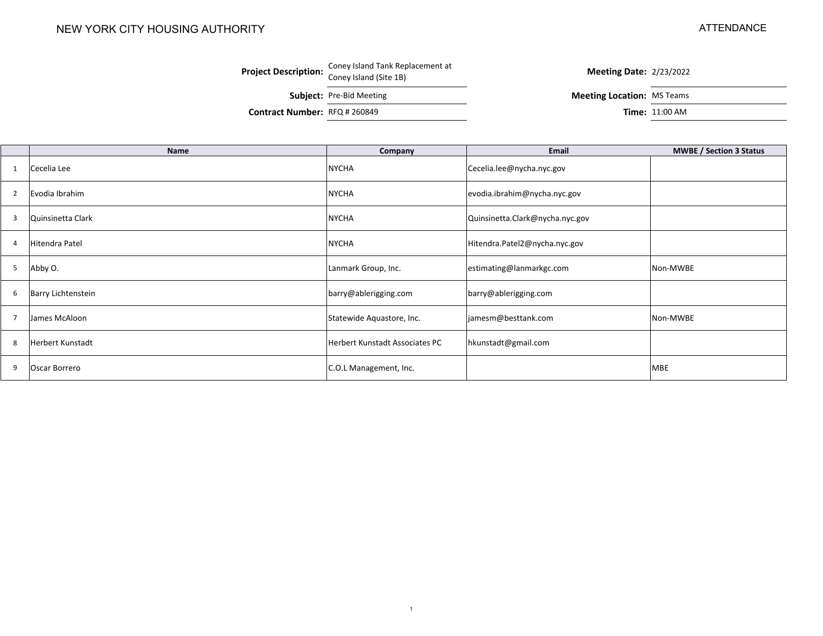#### NEW YORK CITY HOUSING AUTHORITY

#### ATTENDANCE

# **Project Description:** Coney Island Tank Replacement at **Coney Island (Site 1B)** Meeting Date:  $\frac{2}{23/2022}$

**Subject:** Pre-Bid Meeting **Meeting Location:** MS Teams

**Contract Number: RFQ # 260849** 

**Time: 11:00 AM** 

|                | <b>Name</b>        | Company                        | Email                           | <b>MWBE / Section 3 Status</b> |
|----------------|--------------------|--------------------------------|---------------------------------|--------------------------------|
|                | Cecelia Lee        | <b>NYCHA</b>                   | Cecelia.lee@nycha.nyc.gov       |                                |
| $\overline{2}$ | Evodia Ibrahim     | <b>NYCHA</b>                   | evodia.ibrahim@nycha.nyc.gov    |                                |
| 3              | Quinsinetta Clark  | <b>NYCHA</b>                   | Quinsinetta.Clark@nycha.nyc.gov |                                |
| 4              | Hitendra Patel     | <b>NYCHA</b>                   | Hitendra.Patel2@nycha.nyc.gov   |                                |
| 5              | Abby O.            | Lanmark Group, Inc.            | estimating@lanmarkgc.com        | Non-MWBE                       |
| 6              | Barry Lichtenstein | barry@ablerigging.com          | barry@ablerigging.com           |                                |
| -7             | James McAloon      | Statewide Aquastore, Inc.      | jamesm@besttank.com             | Non-MWBE                       |
| 8              | Herbert Kunstadt   | Herbert Kunstadt Associates PC | hkunstadt@gmail.com             |                                |
| 9              | Oscar Borrero      | C.O.L Management, Inc.         |                                 | <b>MBE</b>                     |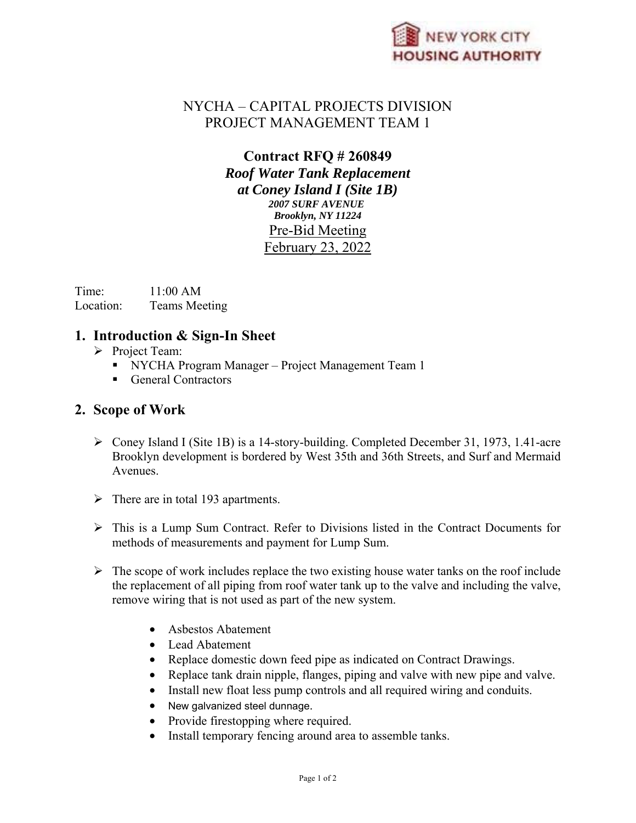

### NYCHA – CAPITAL PROJECTS DIVISION PROJECT MANAGEMENT TEAM 1

#### **Contract RFQ # 260849**  *Roof Water Tank Replacement at Coney Island I (Site 1B) 2007 SURF AVENUE Brooklyn, NY 11224*  Pre-Bid Meeting February 23, 2022

Time: 11:00 AM Location: Teams Meeting

#### **1. Introduction & Sign-In Sheet**

- $\triangleright$  Project Team:
	- NYCHA Program Manager Project Management Team 1
	- General Contractors

#### **2. Scope of Work**

- Coney Island I (Site 1B) is a 14-story-building. Completed December 31, 1973, 1.41-acre Brooklyn development is bordered by West 35th and 36th Streets, and Surf and Mermaid Avenues.
- $\triangleright$  There are in total 193 apartments.
- $\triangleright$  This is a Lump Sum Contract. Refer to Divisions listed in the Contract Documents for methods of measurements and payment for Lump Sum.
- $\triangleright$  The scope of work includes replace the two existing house water tanks on the roof include the replacement of all piping from roof water tank up to the valve and including the valve, remove wiring that is not used as part of the new system.
	- Asbestos Abatement
	- Lead Abatement
	- Replace domestic down feed pipe as indicated on Contract Drawings.
	- Replace tank drain nipple, flanges, piping and valve with new pipe and valve.
	- Install new float less pump controls and all required wiring and conduits.
	- New galvanized steel dunnage.
	- Provide firestopping where required.
	- Install temporary fencing around area to assemble tanks.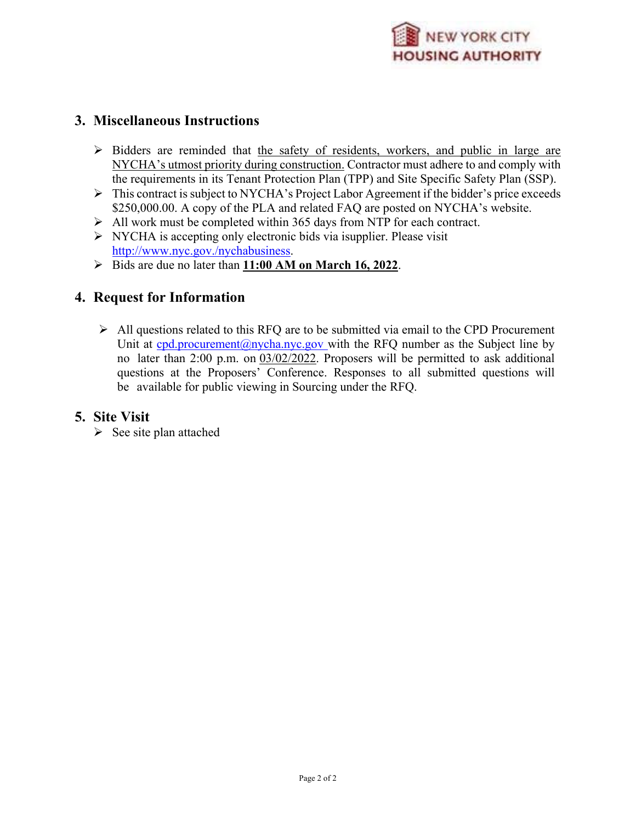

#### **3. Miscellaneous Instructions**

- $\triangleright$  Bidders are reminded that the safety of residents, workers, and public in large are NYCHA's utmost priority during construction. Contractor must adhere to and comply with the requirements in its Tenant Protection Plan (TPP) and Site Specific Safety Plan (SSP).
- This contract is subject to NYCHA's Project Labor Agreement if the bidder's price exceeds \$250,000.00. A copy of the PLA and related FAQ are posted on NYCHA's website.
- $\triangleright$  All work must be completed within 365 days from NTP for each contract.
- $\triangleright$  NYCHA is accepting only electronic bids via isupplier. Please visit http://www.nyc.gov./nychabusiness.
- Bids are due no later than **11:00 AM on March 16, 2022**.

#### **4. Request for Information**

 $\triangleright$  All questions related to this RFQ are to be submitted via email to the CPD Procurement Unit at cpd.procurement@nycha.nyc.gov with the RFQ number as the Subject line by no later than 2:00 p.m. on 03/02/2022. Proposers will be permitted to ask additional questions at the Proposers' Conference. Responses to all submitted questions will be available for public viewing in Sourcing under the RFQ.

#### **5. Site Visit**

 $\triangleright$  See site plan attached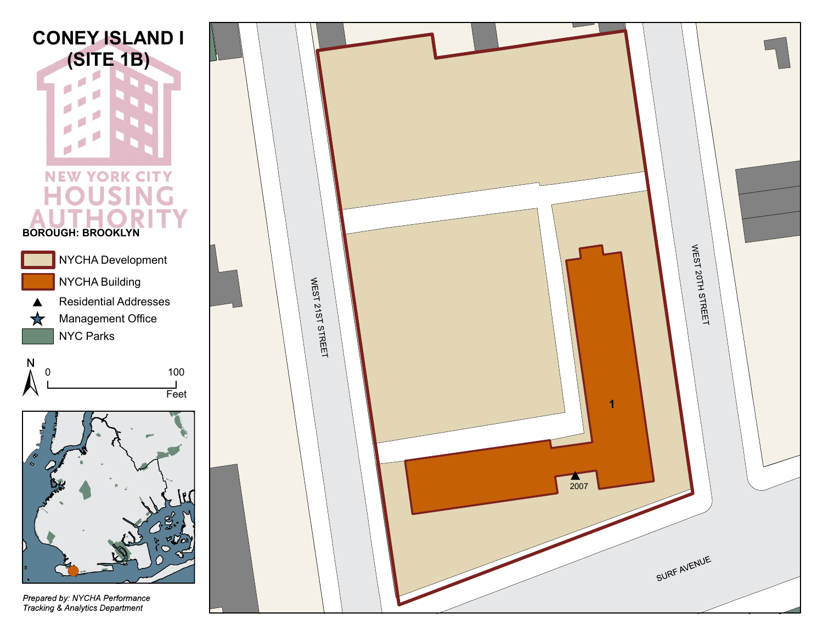